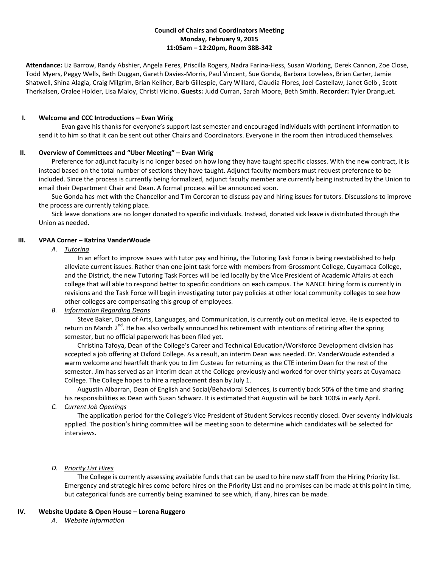# **Council of Chairs and Coordinators Meeting Monday, February 9, 2015 11:05am – 12:20pm, Room 38B-342**

**Attendance:** Liz Barrow, Randy Abshier, Angela Feres, Priscilla Rogers, Nadra Farina-Hess, Susan Working, Derek Cannon, Zoe Close, Todd Myers, Peggy Wells, Beth Duggan, Gareth Davies-Morris, Paul Vincent, Sue Gonda, Barbara Loveless, Brian Carter, Jamie Shatwell, Shina Alagia, Craig Milgrim, Brian Keliher, Barb Gillespie, Cary Willard, Claudia Flores, Joel Castellaw, Janet Gelb , Scott Therkalsen, Oralee Holder, Lisa Maloy, Christi Vicino. **Guests:** Judd Curran, Sarah Moore, Beth Smith. **Recorder:** Tyler Dranguet.

### **I. Welcome and CCC Introductions – Evan Wirig**

Evan gave his thanks for everyone's support last semester and encouraged individuals with pertinent information to send it to him so that it can be sent out other Chairs and Coordinators. Everyone in the room then introduced themselves.

## **II. Overview of Committees and "Uber Meeting" – Evan Wirig**

Preference for adjunct faculty is no longer based on how long they have taught specific classes. With the new contract, it is instead based on the total number of sections they have taught. Adjunct faculty members must request preference to be included. Since the process is currently being formalized, adjunct faculty member are currently being instructed by the Union to email their Department Chair and Dean. A formal process will be announced soon.

Sue Gonda has met with the Chancellor and Tim Corcoran to discuss pay and hiring issues for tutors. Discussions to improve the process are currently taking place.

Sick leave donations are no longer donated to specific individuals. Instead, donated sick leave is distributed through the Union as needed.

## **III. VPAA Corner – Katrina VanderWoude**

## *A. Tutoring*

In an effort to improve issues with tutor pay and hiring, the Tutoring Task Force is being reestablished to help alleviate current issues. Rather than one joint task force with members from Grossmont College, Cuyamaca College, and the District, the new Tutoring Task Forces will be led locally by the Vice President of Academic Affairs at each college that will able to respond better to specific conditions on each campus. The NANCE hiring form is currently in revisions and the Task Force will begin investigating tutor pay policies at other local community colleges to see how other colleges are compensating this group of employees.

# *B. Information Regarding Deans*

Steve Baker, Dean of Arts, Languages, and Communication, is currently out on medical leave. He is expected to return on March 2<sup>nd</sup>. He has also verbally announced his retirement with intentions of retiring after the spring semester, but no official paperwork has been filed yet.

Christina Tafoya, Dean of the College's Career and Technical Education/Workforce Development division has accepted a job offering at Oxford College. As a result, an interim Dean was needed. Dr. VanderWoude extended a warm welcome and heartfelt thank you to Jim Custeau for returning as the CTE interim Dean for the rest of the semester. Jim has served as an interim dean at the College previously and worked for over thirty years at Cuyamaca College. The College hopes to hire a replacement dean by July 1.

Augustin Albarran, Dean of English and Social/Behavioral Sciences, is currently back 50% of the time and sharing his responsibilities as Dean with Susan Schwarz. It is estimated that Augustin will be back 100% in early April.

*C. Current Job Openings*

The application period for the College's Vice President of Student Services recently closed. Over seventy individuals applied. The position's hiring committee will be meeting soon to determine which candidates will be selected for interviews.

# *D. Priority List Hires*

The College is currently assessing available funds that can be used to hire new staff from the Hiring Priority list. Emergency and strategic hires come before hires on the Priority List and no promises can be made at this point in time, but categorical funds are currently being examined to see which, if any, hires can be made.

# **IV. Website Update & Open House – Lorena Ruggero**

*A. Website Information*